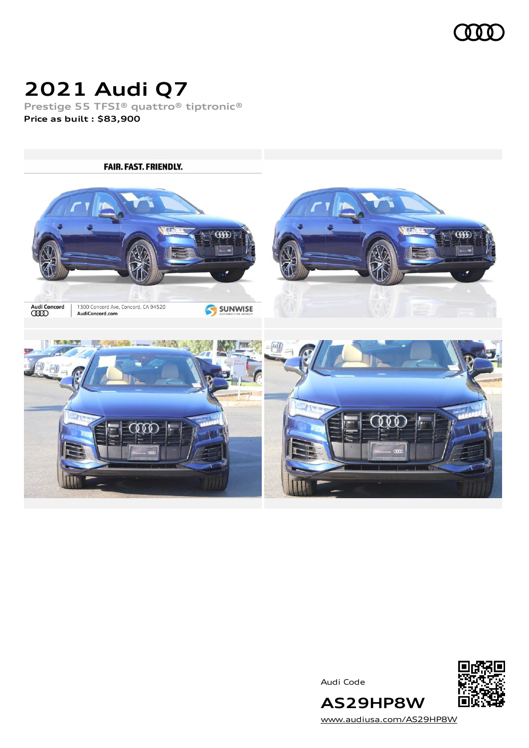

## **2021 Audi Q7**

**Prestige 55 TFSI® quattro® tiptronic® Price as built [:](#page-8-0) \$83,900**



Audi Code



[www.audiusa.com/AS29HP8W](https://www.audiusa.com/AS29HP8W)

**AS29HP8W**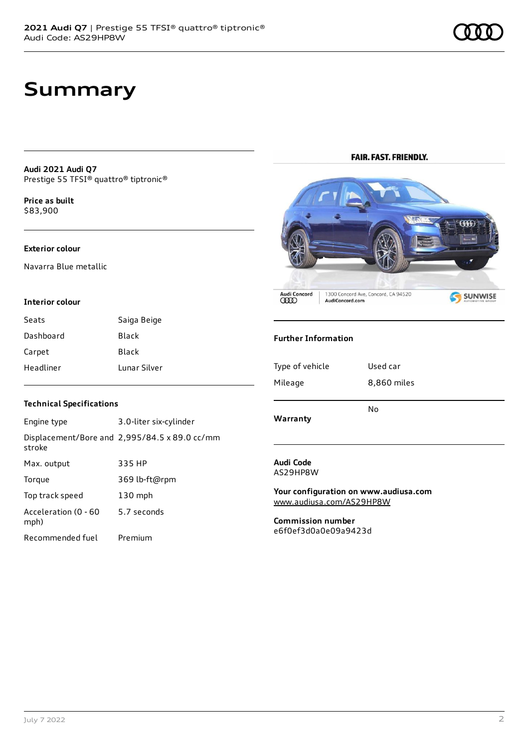### **Summary**

#### **Audi 2021 Audi Q7** Prestige 55 TFSI® quattro® tiptronic®

**Price as buil[t](#page-8-0)** \$83,900

#### **Exterior colour**

Navarra Blue metallic

#### **Interior colour**

| Seats     | Saiga Beige  |
|-----------|--------------|
| Dashboard | Black        |
| Carpet    | Black        |
| Headliner | Lunar Silver |

#### **Technical Specifications**

| Engine type                  | 3.0-liter six-cylinder                        |
|------------------------------|-----------------------------------------------|
| stroke                       | Displacement/Bore and 2,995/84.5 x 89.0 cc/mm |
| Max. output                  | 335 HP                                        |
| Torque                       | 369 lb-ft@rpm                                 |
| Top track speed              | $130$ mph                                     |
| Acceleration (0 - 60<br>mph) | 5.7 seconds                                   |
| Recommended fuel             | Premium                                       |

**FAIR. FAST. FRIENDLY.** 



Audi Concord<br>**QDD** 

1300 Concord Ave, Concord, CA 94520<br>AudiConcord.com

S SUNWISE

#### **Further Information**

| Type of vehicle | Used car    |
|-----------------|-------------|
| Mileage         | 8,860 miles |
| Warranty        | No          |

#### **Audi Code** AS29HP8W

**Your configuration on www.audiusa.com** [www.audiusa.com/AS29HP8W](https://www.audiusa.com/AS29HP8W)

**Commission number** e6f0ef3d0a0e09a9423d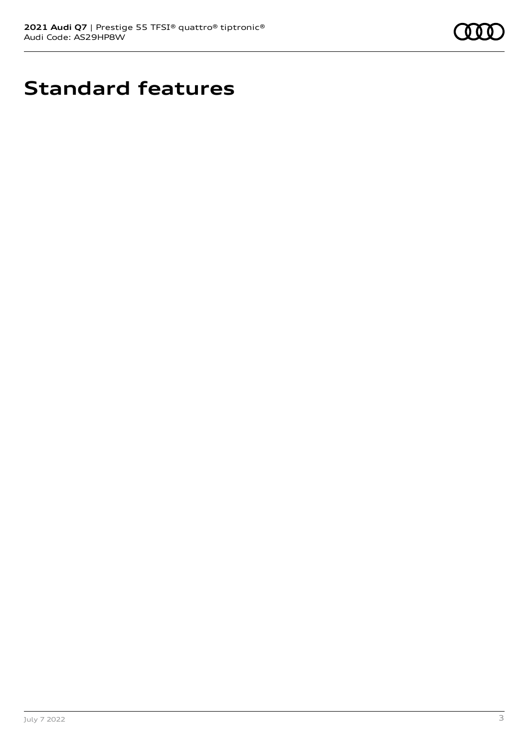

## **Standard features**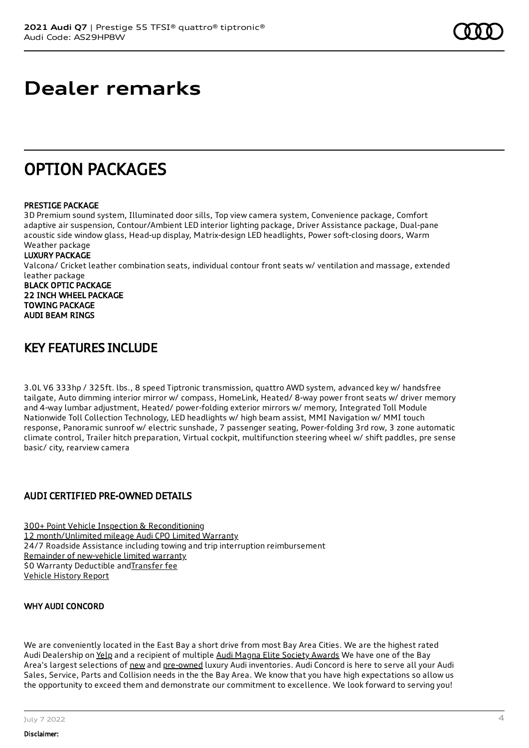### **Dealer remarks**

### OPTION PACKAGES

#### PRESTIGE PACKAGE

3D Premium sound system, Illuminated door sills, Top view camera system, Convenience package, Comfort adaptive air suspension, Contour/Ambient LED interior lighting package, Driver Assistance package, Dual-pane acoustic side window glass, Head-up display, Matrix-design LED headlights, Power soft-closing doors, Warm Weather package

#### LUXURY PACKAGE

Valcona/ Cricket leather combination seats, individual contour front seats w/ ventilation and massage, extended leather package BLACK OPTIC PACKAGE 22 INCH WHEEL PACKAGE TOWING PACKAGE AUDI BEAM RINGS

### KEY FEATURES INCLUDE

3.0L V6 333hp / 325ft. lbs., 8 speed Tiptronic transmission, quattro AWD system, advanced key w/ handsfree tailgate, Auto dimming interior mirror w/ compass, HomeLink, Heated/ 8-way power front seats w/ driver memory and 4-way lumbar adjustment, Heated/ power-folding exterior mirrors w/ memory, Integrated Toll Module Nationwide Toll Collection Technology, LED headlights w/ high beam assist, MMI Navigation w/ MMI touch response, Panoramic sunroof w/ electric sunshade, 7 passenger seating, Power-folding 3rd row, 3 zone automatic climate control, Trailer hitch preparation, Virtual cockpit, multifunction steering wheel w/ shift paddles, pre sense basic/ city, rearview camera

#### AUDI CERTIFIED PRE-OWNED DETAILS

300+ Point Vehicle Inspection & [Reconditioning](https://www.audiusa.com/content/dam/audiusa/CPO/2018-09-Audi-CPO-Inspection-Cert-Checklist.pdf) 12 [month/Unlimited](https://www.audiusa.com/content/dam/audiusa/CPO/2018-08-Audi-CPO-Limited-Warranty-Booklet.pdf) mileage Audi CPO Limited Warranty 24/7 Roadside Assistance including towing and trip interruption reimbursement Remainder of [new-vehicle](https://www.audiusa.com/myaudi/warranty#/modal/myaudi-new-vehicle-limited-warranty) limited warranty \$0 Warranty Deductible and [Transfer](https://www.audiusa.com/content/dam/audiusa/Documents/2018-Audi-CPO-Warranty-Transfer-Application.pdf) fee [Vehicle](https://www.carfax.com/VehicleHistory/p/Report.cfx?partner=DLR_3&vin=WA1VXAF76MD024081) History Report

#### WHY AUDI CONCORD

We are conveniently located in the East Bay a short drive from most Bay Area Cities. We are the highest rated Audi Dealership on [Yelp](https://www.yelp.com/biz/audi-concord-concord) and a recipient of multiple Audi Magna Elite Society [Awards](https://www.audiconcord.com/magna-society-award.htm) We have one of the Bay Area's largest selections of [new](https://www.audiconcord.com/new-inventory/index.htm) and [pre-owned](https://www.audiconcord.com/used-inventory/index.htm) luxury Audi inventories. Audi Concord is here to serve all your Audi Sales, Service, Parts and Collision needs in the the Bay Area. We know that you have high expectations so allow us the opportunity to exceed them and demonstrate our commitment to excellence. We look forward to serving you!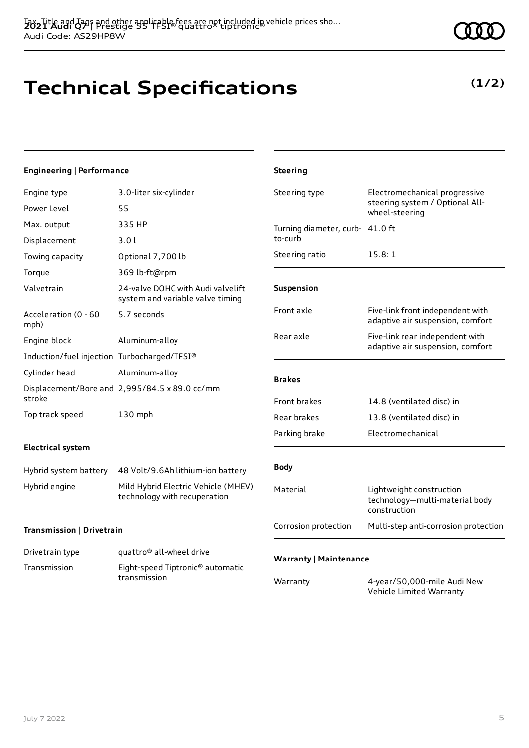# **Technical Specifications**

#### **Engineering | Performance**

| Engine type                                 | 3.0-liter six-cylinder                                                |
|---------------------------------------------|-----------------------------------------------------------------------|
| Power Level                                 | 55                                                                    |
| Max. output                                 | 335 HP                                                                |
| Displacement                                | 3.01                                                                  |
| Towing capacity                             | Optional 7,700 lb                                                     |
| Torque                                      | 369 lb-ft@rpm                                                         |
| Valvetrain                                  | 24-valve DOHC with Audi valvelift<br>system and variable valve timing |
| Acceleration (0 - 60<br>mph)                | 5.7 seconds                                                           |
| Engine block                                | Aluminum-alloy                                                        |
| Induction/fuel injection Turbocharged/TFSI® |                                                                       |
| Cylinder head                               | Aluminum-alloy                                                        |
| stroke                                      | Displacement/Bore and 2,995/84.5 x 89.0 cc/mm                         |
| Top track speed                             | 130 mph                                                               |

#### **Electrical system**

| Hybrid system battery | 48 Volt/9.6Ah lithium-ion battery                                   |
|-----------------------|---------------------------------------------------------------------|
| Hybrid engine         | Mild Hybrid Electric Vehicle (MHEV)<br>technology with recuperation |

#### **Transmission | Drivetrain**

| Drivetrain type | quattro <sup>®</sup> all-wheel drive                         |
|-----------------|--------------------------------------------------------------|
| Transmission    | Eight-speed Tiptronic <sup>®</sup> automatic<br>transmission |

|            | Steering ratio                | 15.8:1                                                                     |  |
|------------|-------------------------------|----------------------------------------------------------------------------|--|
| lift<br>ng | Suspension                    |                                                                            |  |
|            | Front axle                    | Five-link front independent with<br>adaptive air suspension, comfort       |  |
|            | Rear axle                     | Five-link rear independent with<br>adaptive air suspension, comfort        |  |
|            | <b>Brakes</b>                 |                                                                            |  |
|            | Front brakes                  | 14.8 (ventilated disc) in                                                  |  |
|            | Rear brakes                   | 13.8 (ventilated disc) in                                                  |  |
|            | Parking brake                 | Electromechanical                                                          |  |
| ery        | <b>Body</b>                   |                                                                            |  |
| HEV)       | Material                      | Lightweight construction<br>technology-multi-material body<br>construction |  |
|            | Corrosion protection          | Multi-step anti-corrosion protection                                       |  |
| tic        | <b>Warranty   Maintenance</b> |                                                                            |  |
|            | Warranty                      | 4-year/50,000-mile Audi New<br>Vehicle Limited Warranty                    |  |
|            |                               |                                                                            |  |

Steering type **Electromechanical progressive** 

Turning diameter, curb-41.0 ft

wheel-steering

steering system / Optional All-

**Steering**

to-curb

### **(1/2)**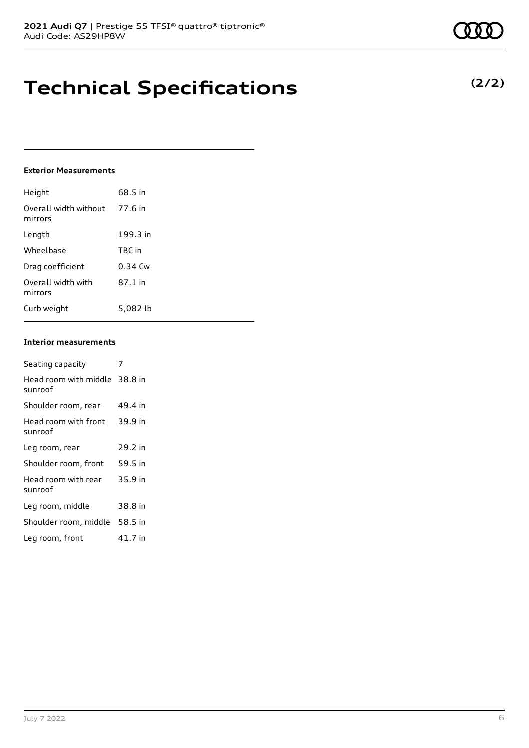## **Technical Specifications**

#### **Exterior Measurements**

| Height                           | 68.5 in   |
|----------------------------------|-----------|
| Overall width without<br>mirrors | 77.6 in   |
| Length                           | 199.3 in  |
| Wheelbase                        | TBC in    |
| Drag coefficient                 | $0.34$ Cw |
| Overall width with<br>mirrors    | 87.1 in   |
| Curb weight                      | 5.082 lb  |

#### **Interior measurements**

| Seating capacity                         |         |
|------------------------------------------|---------|
| Head room with middle 38.8 in<br>sunroof |         |
| Shoulder room, rear                      | 49.4 in |
| Head room with front<br>sunroof          | 39.9 in |
| Leg room, rear                           | 29.2 in |
| Shoulder room, front                     | 59.5 in |
| Head room with rear<br>sunroof           | 35.9 in |
| Leg room, middle                         | 38.8 in |
| Shoulder room, middle                    | 58.5 in |
| Leg room, front                          | 41.7 in |

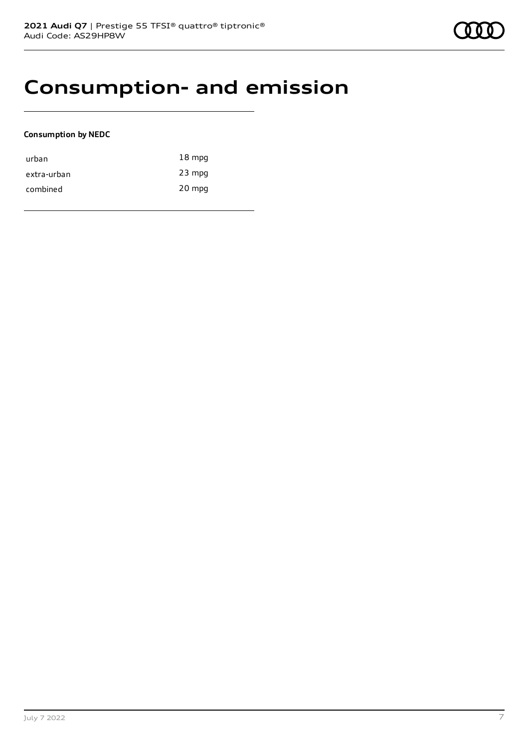### **Consumption- and emission**

#### **Consumption by NEDC**

| urban       | $18 \text{ mpg}$ |
|-------------|------------------|
| extra-urban | $23$ mpg         |
| combined    | 20 mpg           |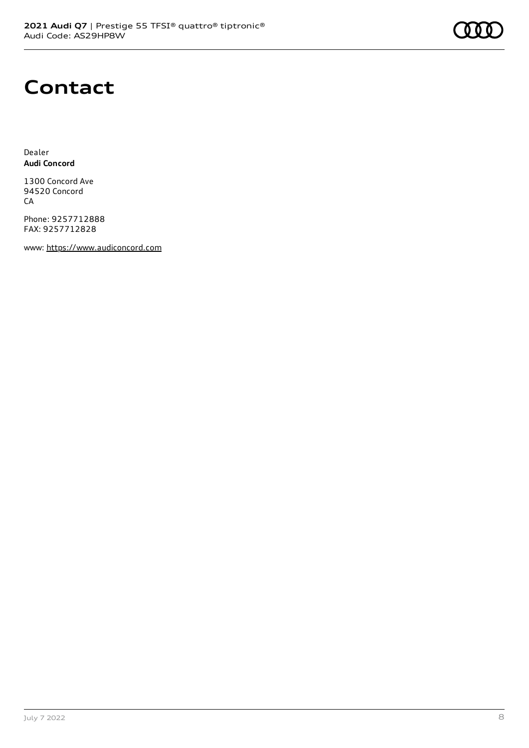### **Contact**

Dealer **Audi Concord**

1300 Concord Ave 94520 Concord CA

Phone: 9257712888 FAX: 9257712828

www: [https://www.audiconcord.com](https://www.audiconcord.com/)